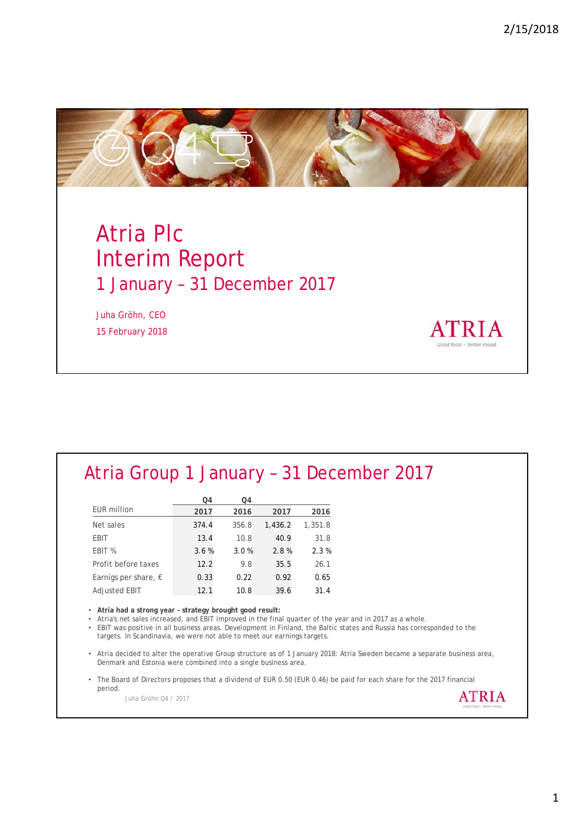**ATRIA** 



# Atria Plc Interim Report 1 January – 31 December 2017

Juha Gröhn, CEO 15 February 2018

## Atria Group 1 January – 31 December 2017

|                               | Q4    | Q4    |         |         |
|-------------------------------|-------|-------|---------|---------|
| <b>EUR million</b>            | 2017  | 2016  | 2017    | 2016    |
| Net sales                     | 374.4 | 356.8 | 1,436.2 | 1,351.8 |
| EBIT                          | 13.4  | 10.8  | 40.9    | 31.8    |
| EBIT %                        | 3.6%  | 3.0%  | 2.8%    | 2.3%    |
| Profit before taxes           | 12.2  | 9.8   | 35.5    | 26.1    |
| Earnigs per share, $\epsilon$ | 0.33  | 0.22  | 0.92    | 0.65    |
| <b>Adjusted EBIT</b>          | 12.1  | 10.8  | 39.6    | 31.4    |

• **Atria had a strong year – strategy brought good result:**

• Atria's net sales increased, and EBIT improved in the final quarter of the year and in 2017 as a whole.

• EBIT was positive in all business areas. Development in Finland, the Baltic states and Russia has corresponded to the targets. In Scandinavia, we were not able to meet our earnings targets.

• Atria decided to alter the operative Group structure as of 1 January 2018: Atria Sweden became a separate business area, Denmark and Estonia were combined into a single business area.

• The Board of Directors proposes that a dividend of EUR 0.50 (EUR 0.46) be paid for each share for the 2017 financial period. **ATRIA** 

Juha Gröhn Q4 / 2017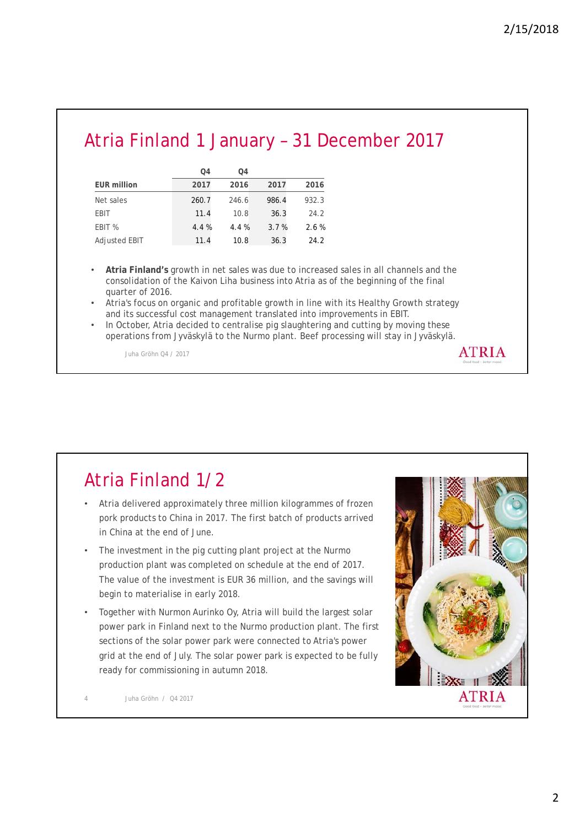# Atria Finland 1 January – 31 December 2017

|                      | O <sub>4</sub> | O <sub>4</sub> |       |       |
|----------------------|----------------|----------------|-------|-------|
| <b>EUR million</b>   | 2017           | 2016           | 2017  | 2016  |
| Net sales            | 260.7          | 246.6          | 986.4 | 932.3 |
| <b>EBIT</b>          | 11.4           | 10.8           | 36.3  | 24.2  |
| EBIT %               | 4.4%           | 4.4%           | 3.7%  | 2.6%  |
| <b>Adjusted EBIT</b> | 11.4           | 10.8           | 36.3  | 24.2  |

- **Atria Finland's** growth in net sales was due to increased sales in all channels and the consolidation of the Kaivon Liha business into Atria as of the beginning of the final quarter of 2016.
- Atria's focus on organic and profitable growth in line with its Healthy Growth strategy and its successful cost management translated into improvements in EBIT.
- In October, Atria decided to centralise pig slaughtering and cutting by moving these operations from Jyväskylä to the Nurmo plant. Beef processing will stay in Jyväskylä.

Juha Gröhn Q4 / 2017

# Atria Finland 1/2

- Atria delivered approximately three million kilogrammes of frozen pork products to China in 2017. The first batch of products arrived in China at the end of June.
- The investment in the pig cutting plant project at the Nurmo production plant was completed on schedule at the end of 2017. The value of the investment is EUR 36 million, and the savings will begin to materialise in early 2018.
- Together with Nurmon Aurinko Oy, Atria will build the largest solar power park in Finland next to the Nurmo production plant. The first sections of the solar power park were connected to Atria's power grid at the end of July. The solar power park is expected to be fully ready for commissioning in autumn 2018.



**ATRIA** 

4 Juha Gröhn / Q4 2017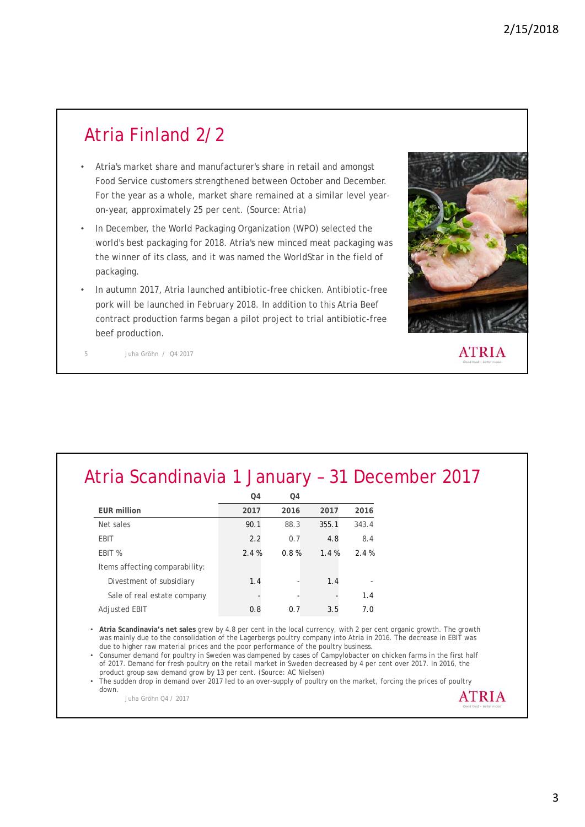#### Atria Finland 2/2

- Atria's market share and manufacturer's share in retail and amongst Food Service customers strengthened between October and December. For the year as a whole, market share remained at a similar level yearon-year, approximately 25 per cent. (Source: Atria)
- In December, the World Packaging Organization (WPO) selected the world's best packaging for 2018. Atria's new minced meat packaging was the winner of its class, and it was named the WorldStar in the field of packaging.
- In autumn 2017, Atria launched antibiotic-free chicken. Antibiotic-free pork will be launched in February 2018. In addition to this Atria Beef contract production farms began a pilot project to trial antibiotic-free beef production.



**ATRIA** 

5 Juha Gröhn / Q4 2017

# Atria Scandinavia 1 January – 31 December 2017

|                                | Q4   | Q4   |       |       |
|--------------------------------|------|------|-------|-------|
| <b>EUR million</b>             | 2017 | 2016 | 2017  | 2016  |
| Net sales                      | 90.1 | 88.3 | 355.1 | 343.4 |
| <b>EBIT</b>                    | 2.2  | 0.7  | 4.8   | 8.4   |
| EBIT %                         | 2.4% | 0.8% | 1.4%  | 2.4%  |
| Items affecting comparability: |      |      |       |       |
| Divestment of subsidiary       | 1.4  |      | 1.4   |       |
| Sale of real estate company    |      |      |       | 1.4   |
| Adjusted EBIT                  | 0.8  | 0.7  | 3.5   | 7.0   |

• **Atria Scandinavia's net sales** grew by 4.8 per cent in the local currency, with 2 per cent organic growth. The growth was mainly due to the consolidation of the Lagerbergs poultry company into Atria in 2016. The decrease in EBIT was due to higher raw material prices and the poor performance of the poultry business.

• Consumer demand for poultry in Sweden was dampened by cases of Campylobacter on chicken farms in the first half of 2017. Demand for fresh poultry on the retail market in Sweden decreased by 4 per cent over 2017. In 2016, the product group saw demand grow by 13 per cent. (Source: AC Nielsen)

• The sudden drop in demand over 2017 led to an over-supply of poultry on the market, forcing the prices of poultry down. **ATRIA** 

Juha Gröhn Q4 / 2017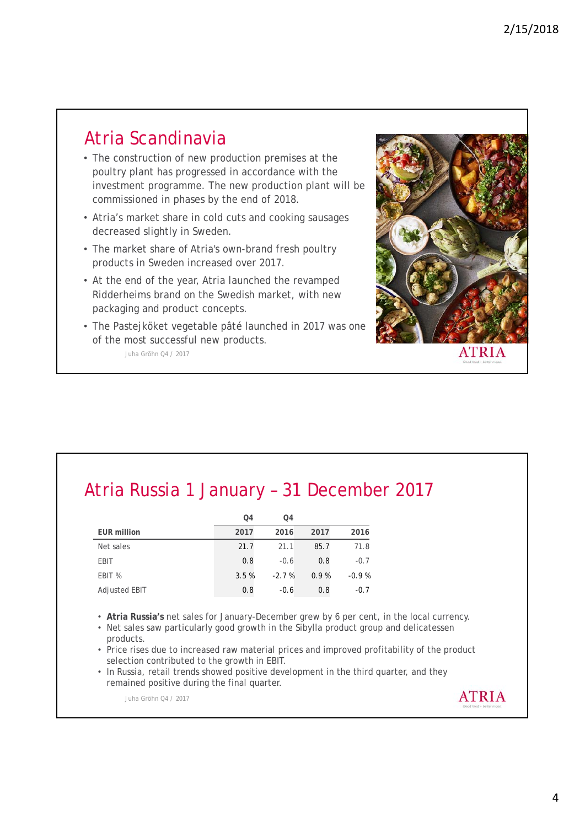#### Atria Scandinavia

- The construction of new production premises at the poultry plant has progressed in accordance with the investment programme. The new production plant will be commissioned in phases by the end of 2018.
- Atria's market share in cold cuts and cooking sausages decreased slightly in Sweden.
- The market share of Atria's own-brand fresh poultry products in Sweden increased over 2017.
- At the end of the year, Atria launched the revamped Ridderheims brand on the Swedish market, with new packaging and product concepts.
- Juha Gröhn Q4 / 2017 • The Pastejköket vegetable pâté launched in 2017 was one of the most successful new products.



# Atria Russia 1 January – 31 December 2017

|                    | Q4   | Q4      |      |         |
|--------------------|------|---------|------|---------|
| <b>EUR million</b> | 2017 | 2016    | 2017 | 2016    |
| Net sales          | 21.7 | 21.1    | 85.7 | 71.8    |
| <b>EBIT</b>        | 0.8  | $-0.6$  | 0.8  | $-0.7$  |
| EBIT %             | 3.5% | $-2.7%$ | 0.9% | $-0.9%$ |
| Adjusted EBIT      | 0.8  | $-0.6$  | 0.8  | $-0.7$  |

- **Atria Russia's** net sales for January-December grew by 6 per cent, in the local currency.
- Net sales saw particularly good growth in the Sibylla product group and delicatessen products.
- Price rises due to increased raw material prices and improved profitability of the product selection contributed to the growth in EBIT.
- In Russia, retail trends showed positive development in the third quarter, and they remained positive during the final quarter.

Juha Gröhn Q4 / 2017

**ATRIA**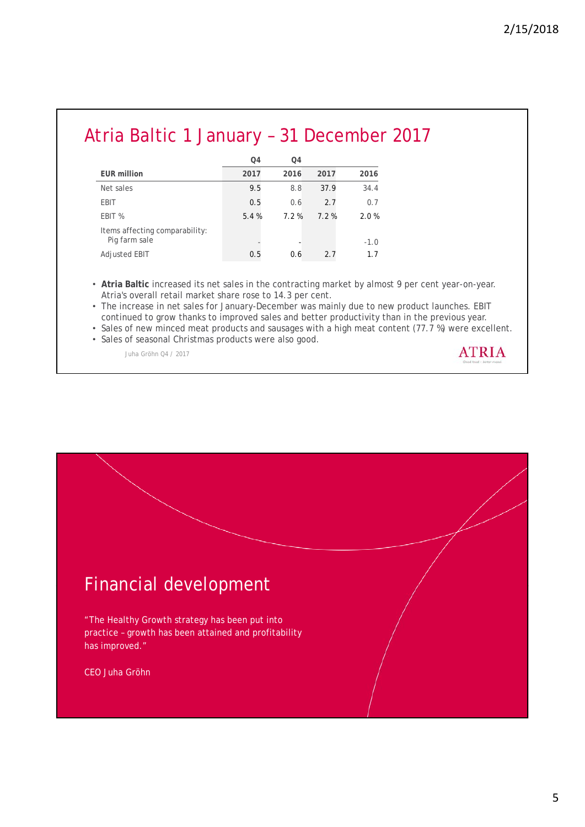#### Atria Baltic 1 January – 31 December 2017

|                                                 | Q4   | O <sub>4</sub> |      |        |
|-------------------------------------------------|------|----------------|------|--------|
| <b>EUR million</b>                              | 2017 | 2016           | 2017 | 2016   |
| Net sales                                       | 9.5  | 8.8            | 37.9 | 34.4   |
| EBIT                                            | 0.5  | 0.6            | 2.7  | 0.7    |
| EBIT %                                          | 5.4% | 7.2%           | 7.2% | 2.0%   |
| Items affecting comparability:<br>Pig farm sale |      |                |      | $-1.0$ |
| <b>Adjusted EBIT</b>                            | 0.5  | 0.6            | 2.7  | 1.7    |

• **Atria Baltic** increased its net sales in the contracting market by almost 9 per cent year-on-year. Atria's overall retail market share rose to 14.3 per cent.

• The increase in net sales for January-December was mainly due to new product launches. EBIT continued to grow thanks to improved sales and better productivity than in the previous year.

• Sales of new minced meat products and sausages with a high meat content (77.7 %) were excellent.

• Sales of seasonal Christmas products were also good.

Juha Gröhn Q4 / 2017



# Financial development

"The Healthy Growth strategy has been put into practice – growth has been attained and profitability has improved."

CEO Juha Gröhn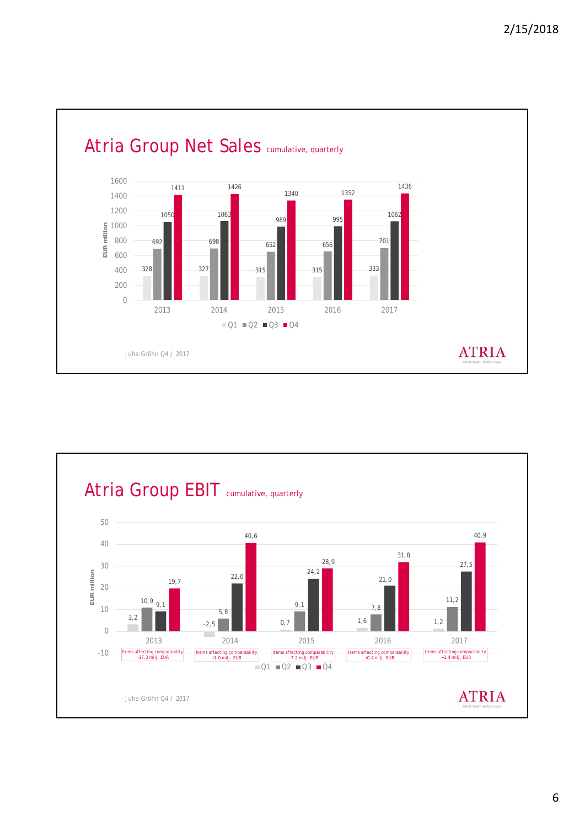



6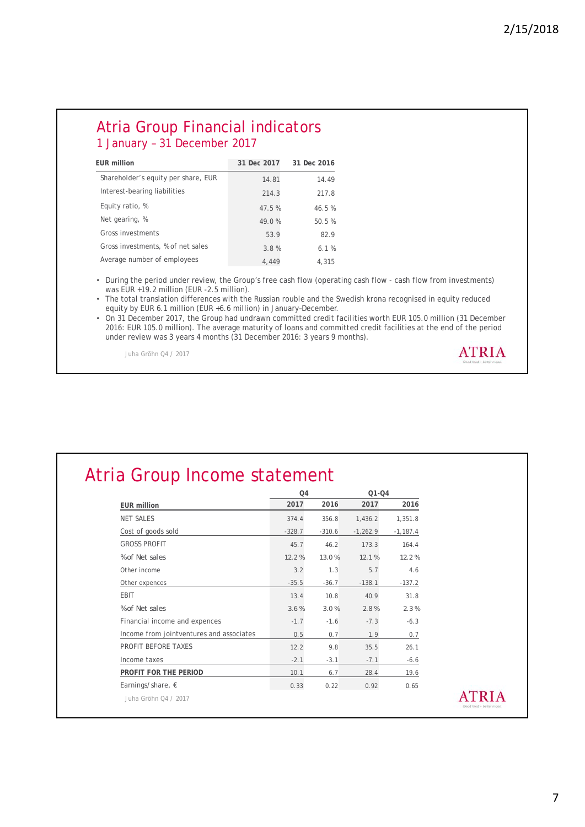**ATRIA** 

#### Atria Group Financial indicators 1 January – 31 December 2017

| <b>EUR million</b>                  | 31 Dec 2017 | 31 Dec 2016 |
|-------------------------------------|-------------|-------------|
| Shareholder's equity per share, EUR | 14.81       | 14.49       |
| Interest-bearing liabilities        | 214.3       | 217.8       |
| Equity ratio, %                     | 47.5 %      | 46.5%       |
| Net gearing, %                      | 49.0 %      | 50.5 %      |
| Gross investments                   | 53.9        | 829         |
| Gross investments, % of net sales   | 3.8%        | 6.1%        |
| Average number of employees         | 4.449       | 4.315       |

• During the period under review, the Group's free cash flow (operating cash flow - cash flow from investments) was EUR +19.2 million (EUR -2.5 million).

• The total translation differences with the Russian rouble and the Swedish krona recognised in equity reduced equity by EUR 6.1 million (EUR +6.6 million) in January–December.

• On 31 December 2017, the Group had undrawn committed credit facilities worth EUR 105.0 million (31 December 2016: EUR 105.0 million). The average maturity of loans and committed credit facilities at the end of the period under review was 3 years 4 months (31 December 2016: 3 years 9 months).

Juha Gröhn Q4 / 2017

|                                          | Q <sub>4</sub> |          | $O1 - O4$  |            |  |
|------------------------------------------|----------------|----------|------------|------------|--|
| <b>EUR million</b>                       | 2017           | 2016     | 2017       | 2016       |  |
| <b>NET SALES</b>                         | 374.4          | 356.8    | 1,436.2    | 1,351.8    |  |
| Cost of goods sold                       | $-328.7$       | $-310.6$ | $-1,262.9$ | $-1,187.4$ |  |
| <b>GROSS PROFIT</b>                      | 45.7           | 46.2     | 173.3      | 164.4      |  |
| % of Net sales                           | 12.2%          | 13.0%    | 12.1%      | 12.2%      |  |
| Other income                             | 3.2            | 1.3      | 5.7        | 4.6        |  |
| Other expences                           | $-35.5$        | $-36.7$  | $-138.1$   | $-137.2$   |  |
| <b>EBIT</b>                              | 13.4           | 10.8     | 40.9       | 31.8       |  |
| % of Net sales                           | 3.6%           | 3.0%     | 2.8%       | 2.3%       |  |
| Financial income and expences            | $-1.7$         | $-1.6$   | $-7.3$     | $-6.3$     |  |
| Income from jointventures and associates | 0.5            | 0.7      | 1.9        | 0.7        |  |
| PROFIT BEFORE TAXES                      | 12.2           | 9.8      | 35.5       | 26.1       |  |
| Income taxes                             | $-2.1$         | $-3.1$   | $-7.1$     | $-6.6$     |  |
| PROFIT FOR THE PERIOD                    | 10.1           | 6.7      | 28.4       | 19.6       |  |
| Earnings/share, $\epsilon$               | 0.33           | 0.22     | 0.92       | 0.65       |  |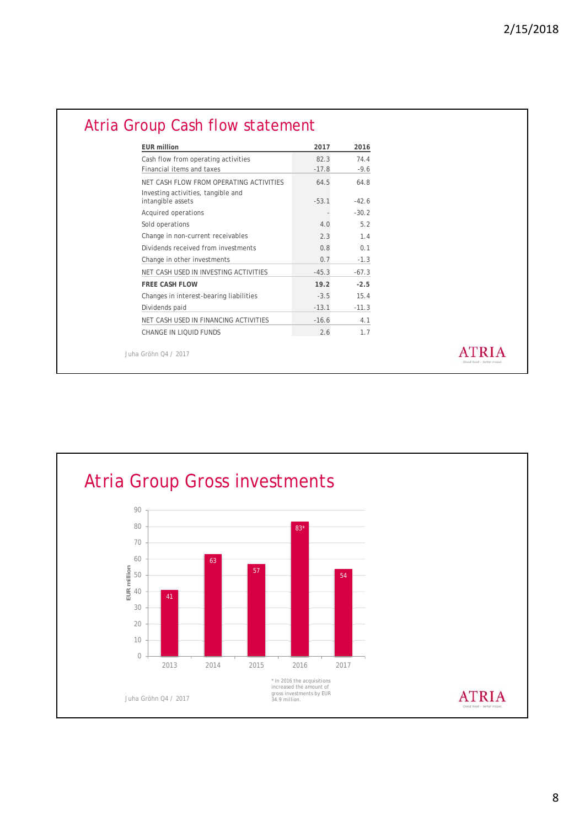**ATRIA** 

| <b>EUR million</b>                                                            | 2017    | 2016    |
|-------------------------------------------------------------------------------|---------|---------|
| Cash flow from operating activities                                           | 82.3    | 74.4    |
| Financial items and taxes                                                     | $-17.8$ | $-9.6$  |
| NET CASH ELOW FROM OPERATING ACTIVITIES<br>Investing activities, tangible and | 64.5    | 64.8    |
| intangible assets                                                             | $-53.1$ | $-42.6$ |
| Acquired operations                                                           |         | $-30.2$ |
| Sold operations                                                               | 4.0     | 5.2     |
| Change in non-current receivables                                             | 2.3     | 1.4     |
| Dividends received from investments                                           | 0.8     | 0.1     |
| Change in other investments                                                   | 0.7     | $-1.3$  |
| NET CASH USED IN INVESTING ACTIVITIES                                         | $-45.3$ | $-67.3$ |
| <b>FREE CASH FLOW</b>                                                         | 19.2    | $-2.5$  |
| Changes in interest-bearing liabilities                                       | $-3.5$  | 15.4    |
| Dividends paid                                                                | $-13.1$ | $-11.3$ |
| NET CASH USED IN FINANCING ACTIVITIES                                         | $-16.6$ | 4.1     |
| CHANGE IN LIOUID FUNDS                                                        | 2.6     | 1.7     |

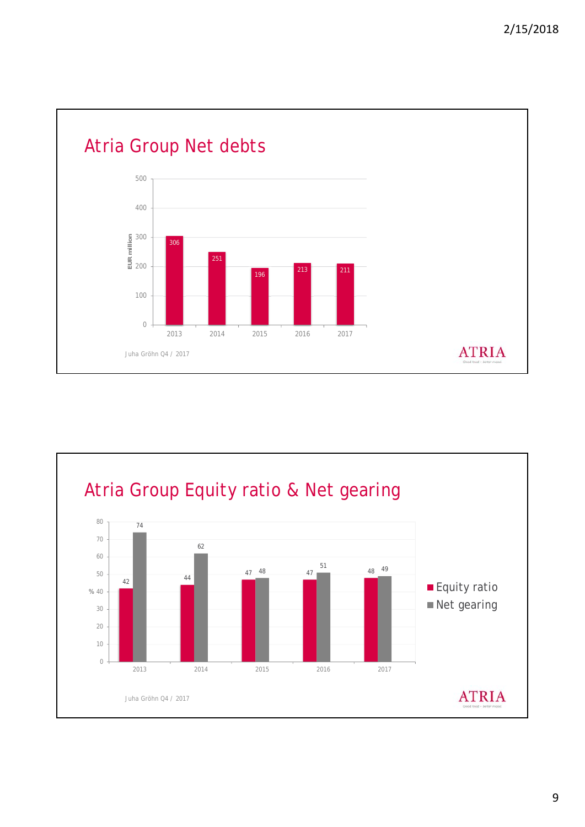

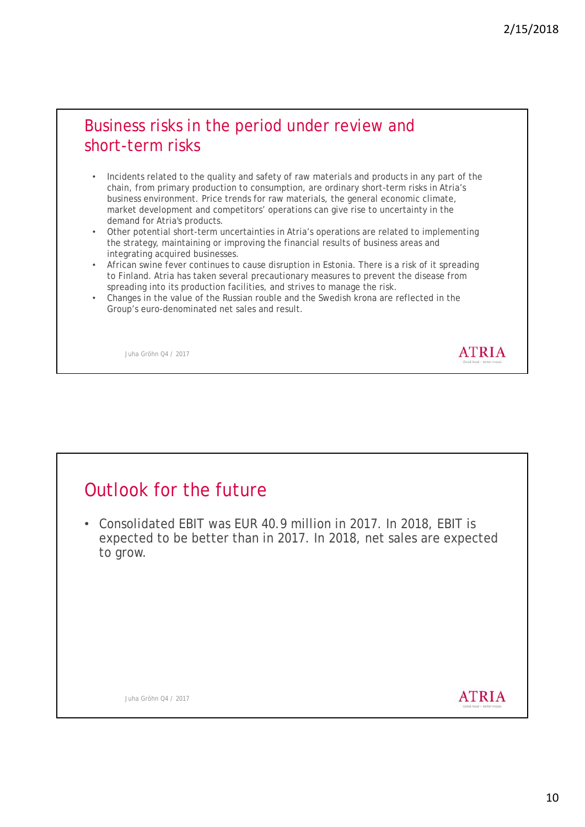#### Business risks in the period under review and short-term risks

- Incidents related to the quality and safety of raw materials and products in any part of the chain, from primary production to consumption, are ordinary short-term risks in Atria's business environment. Price trends for raw materials, the general economic climate, market development and competitors' operations can give rise to uncertainty in the demand for Atria's products.
- Other potential short-term uncertainties in Atria's operations are related to implementing the strategy, maintaining or improving the financial results of business areas and integrating acquired businesses.
- African swine fever continues to cause disruption in Estonia. There is a risk of it spreading to Finland. Atria has taken several precautionary measures to prevent the disease from spreading into its production facilities, and strives to manage the risk.
- Changes in the value of the Russian rouble and the Swedish krona are reflected in the Group's euro-denominated net sales and result.

Juha Gröhn Q4 / 2017

## Outlook for the future

• Consolidated EBIT was EUR 40.9 million in 2017. In 2018, EBIT is expected to be better than in 2017. In 2018, net sales are expected to grow.

Juha Gröhn Q4 / 2017

**ATRIA** 

**ATRIA**